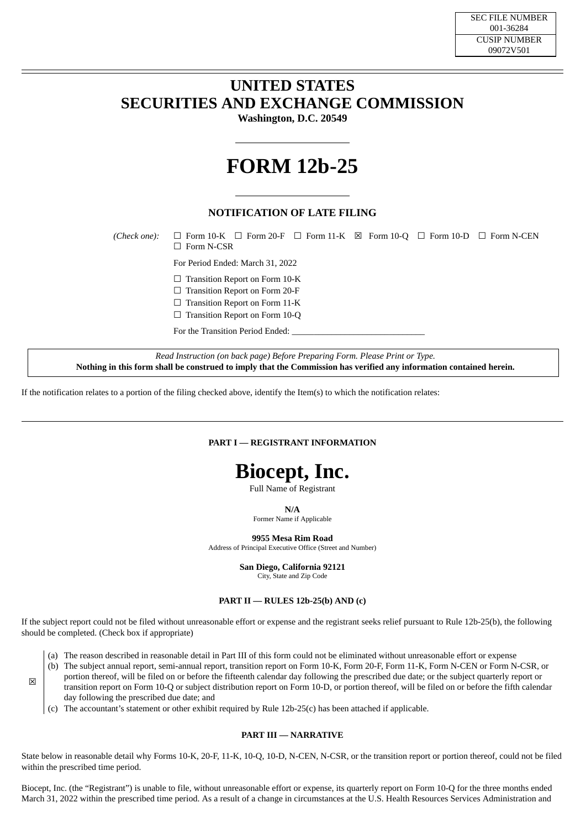### **UNITED STATES SECURITIES AND EXCHANGE COMMISSION**

**Washington, D.C. 20549**

# **FORM 12b-25**

### **NOTIFICATION OF LATE FILING**

*(Check one):* ☐ Form 10-K ☐ Form 20-F ☐ Form 11-K ☒ Form 10-Q ☐ Form 10-D ☐ Form N-CEN ☐ Form N-CSR

For Period Ended: March 31, 2022

□ Transition Report on Form 10-K

☐ Transition Report on Form 20-F

□ Transition Report on Form 11-K

□ Transition Report on Form 10-Q

For the Transition Period Ended:

*Read Instruction (on back page) Before Preparing Form. Please Print or Type.* Nothing in this form shall be construed to imply that the Commission has verified any information contained herein.

If the notification relates to a portion of the filing checked above, identify the Item(s) to which the notification relates:

### **PART I — REGISTRANT INFORMATION**

## **Biocept, Inc.**

Full Name of Registrant

**N/A**

Former Name if Applicable

**9955 Mesa Rim Road**

Address of Principal Executive Office (Street and Number)

**San Diego, California 92121**

City, State and Zip Code

### **PART II — RULES 12b-25(b) AND (c)**

If the subject report could not be filed without unreasonable effort or expense and the registrant seeks relief pursuant to Rule 12b-25(b), the following should be completed. (Check box if appropriate)

- (a) The reason described in reasonable detail in Part III of this form could not be eliminated without unreasonable effort or expense
- (b) The subject annual report, semi-annual report, transition report on Form 10-K, Form 20-F, Form 11-K, Form N-CEN or Form N-CSR, or portion thereof, will be filed on or before the fifteenth calendar day following the prescribed due date; or the subject quarterly report or transition report on Form 10-Q or subject distribution report on Form 10-D, or portion thereof, will be filed on or before the fifth calendar day following the prescribed due date; and
	- (c) The accountant's statement or other exhibit required by Rule 12b-25(c) has been attached if applicable.

☒

#### **PART III — NARRATIVE**

State below in reasonable detail why Forms 10-K, 20-F, 11-K, 10-Q, 10-D, N-CEN, N-CSR, or the transition report or portion thereof, could not be filed within the prescribed time period.

Biocept, Inc. (the "Registrant") is unable to file, without unreasonable effort or expense, its quarterly report on Form 10-Q for the three months ended March 31, 2022 within the prescribed time period. As a result of a change in circumstances at the U.S. Health Resources Services Administration and